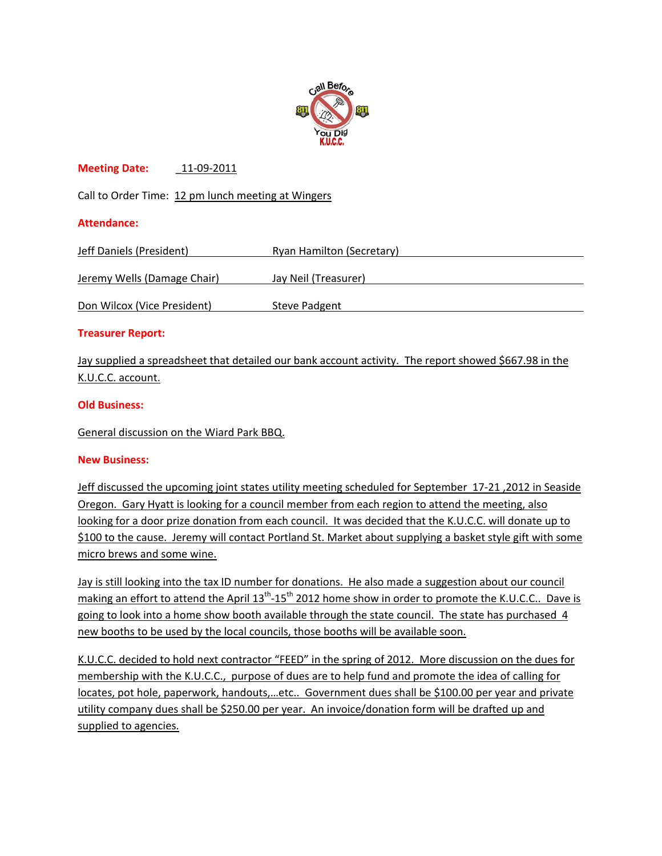

# **Meeting Date:** \_11‐09‐2011

Call to Order Time: 12 pm lunch meeting at Wingers

## **Attendance:**

| Jeff Daniels (President)    | Ryan Hamilton (Secretary) |
|-----------------------------|---------------------------|
|                             |                           |
| Jeremy Wells (Damage Chair) | Jay Neil (Treasurer)      |
| Don Wilcox (Vice President) | Steve Padgent             |

## **Treasurer Report:**

Jay supplied a spreadsheet that detailed our bank account activity. The report showed \$667.98 in the K.U.C.C. account.

## **Old Business:**

General discussion on the Wiard Park BBQ.

## **New Business:**

Jeff discussed the upcoming joint states utility meeting scheduled for September 17-21, 2012 in Seaside Oregon. Gary Hyatt is looking for a council member from each region to attend the meeting, also looking for a door prize donation from each council. It was decided that the K.U.C.C. will donate up to \$100 to the cause. Jeremy will contact Portland St. Market about supplying a basket style gift with some micro brews and some wine.

Jay is still looking into the tax ID number for donations. He also made a suggestion about our council making an effort to attend the April 13<sup>th</sup>-15<sup>th</sup> 2012 home show in order to promote the K.U.C.C.. Dave is going to look into a home show booth available through the state council. The state has purchased 4 new booths to be used by the local councils, those booths will be available soon.

K.U.C.C. decided to hold next contractor "FEED" in the spring of 2012. More discussion on the dues for membership with the K.U.C.C., purpose of dues are to help fund and promote the idea of calling for locates, pot hole, paperwork, handouts,…etc.. Government dues shall be \$100.00 per year and private utility company dues shall be \$250.00 per year. An invoice/donation form will be drafted up and supplied to agencies.